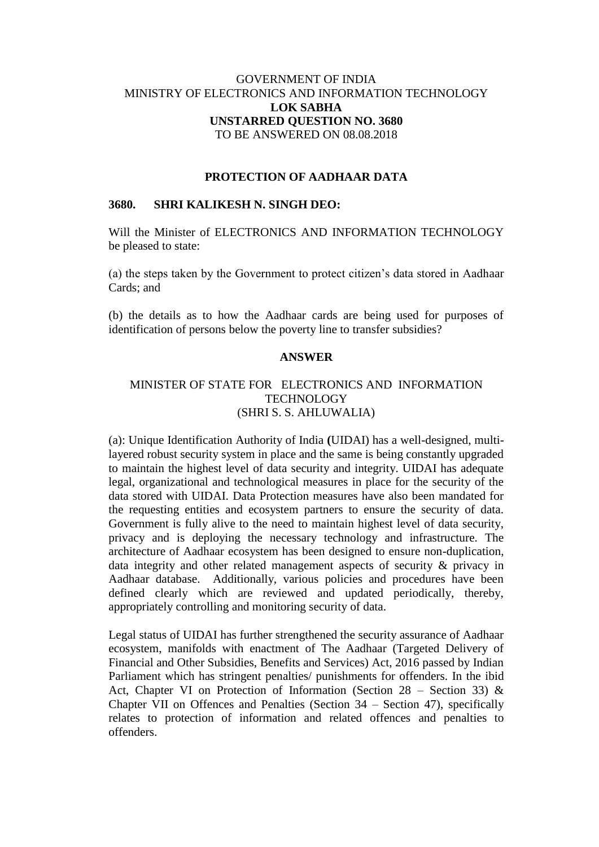# GOVERNMENT OF INDIA MINISTRY OF ELECTRONICS AND INFORMATION TECHNOLOGY **LOK SABHA UNSTARRED QUESTION NO. 3680** TO BE ANSWERED ON 08.08.2018

### **PROTECTION OF AADHAAR DATA**

#### **3680. SHRI KALIKESH N. SINGH DEO:**

Will the Minister of ELECTRONICS AND INFORMATION TECHNOLOGY be pleased to state:

(a) the steps taken by the Government to protect citizen's data stored in Aadhaar Cards; and

(b) the details as to how the Aadhaar cards are being used for purposes of identification of persons below the poverty line to transfer subsidies?

## **ANSWER**

## MINISTER OF STATE FOR ELECTRONICS AND INFORMATION TECHNOLOGY (SHRI S. S. AHLUWALIA)

(a): Unique Identification Authority of India **(**UIDAI) has a well-designed, multilayered robust security system in place and the same is being constantly upgraded to maintain the highest level of data security and integrity. UIDAI has adequate legal, organizational and technological measures in place for the security of the data stored with UIDAI. Data Protection measures have also been mandated for the requesting entities and ecosystem partners to ensure the security of data. Government is fully alive to the need to maintain highest level of data security, privacy and is deploying the necessary technology and infrastructure. The architecture of Aadhaar ecosystem has been designed to ensure non-duplication, data integrity and other related management aspects of security & privacy in Aadhaar database. Additionally, various policies and procedures have been defined clearly which are reviewed and updated periodically, thereby, appropriately controlling and monitoring security of data.

Legal status of UIDAI has further strengthened the security assurance of Aadhaar ecosystem, manifolds with enactment of The Aadhaar (Targeted Delivery of Financial and Other Subsidies, Benefits and Services) Act, 2016 passed by Indian Parliament which has stringent penalties/ punishments for offenders. In the ibid Act, Chapter VI on Protection of Information (Section 28 – Section 33)  $\&$ Chapter VII on Offences and Penalties (Section 34 – Section 47), specifically relates to protection of information and related offences and penalties to offenders.